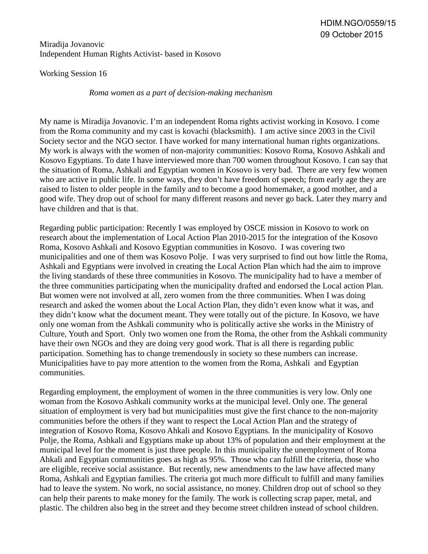## Miradija Jovanovic Independent Human Rights Activist- based in Kosovo

Working Session 16

*Roma women as a part of decision-making mechanism*

My name is Miradija Jovanovic. I'm an independent Roma rights activist working in Kosovo. I come from the Roma community and my cast is kovachi (blacksmith). I am active since 2003 in the Civil Society sector and the NGO sector. I have worked for many international human rights organizations. My work is always with the women of non-majority communities: Kosovo Roma, Kosovo Ashkali and Kosovo Egyptians. To date I have interviewed more than 700 women throughout Kosovo. I can say that the situation of Roma, Ashkali and Egyptian women in Kosovo is very bad. There are very few women who are active in public life. In some ways, they don't have freedom of speech; from early age they are raised to listen to older people in the family and to become a good homemaker, a good mother, and a good wife. They drop out of school for many different reasons and never go back. Later they marry and have children and that is that.

Regarding public participation: Recently I was employed by OSCE mission in Kosovo to work on research about the implementation of Local Action Plan 2010-2015 for the integration of the Kosovo Roma, Kosovo Ashkali and Kosovo Egyptian communities in Kosovo. I was covering two municipalities and one of them was Kosovo Polje. I was very surprised to find out how little the Roma, Ashkali and Egyptians were involved in creating the Local Action Plan which had the aim to improve the living standards of these three communities in Kosovo. The municipality had to have a member of the three communities participating when the municipality drafted and endorsed the Local action Plan. But women were not involved at all, zero women from the three communities. When I was doing research and asked the women about the Local Action Plan, they didn't even know what it was, and they didn't know what the document meant. They were totally out of the picture. In Kosovo, we have only one woman from the Ashkali community who is politically active she works in the Ministry of Culture, Youth and Sport. Only two women one from the Roma, the other from the Ashkali community have their own NGOs and they are doing very good work. That is all there is regarding public participation. Something has to change tremendously in society so these numbers can increase. Municipalities have to pay more attention to the women from the Roma, Ashkali and Egyptian communities.

Regarding employment, the employment of women in the three communities is very low. Only one woman from the Kosovo Ashkali community works at the municipal level. Only one. The general situation of employment is very bad but municipalities must give the first chance to the non-majority communities before the others if they want to respect the Local Action Plan and the strategy of integration of Kosovo Roma, Kosovo Ahkali and Kosovo Egyptians. In the municipality of Kosovo Polje, the Roma, Ashkali and Egyptians make up about 13% of population and their employment at the municipal level for the moment is just three people. In this municipality the unemployment of Roma Ahkali and Egyptian communities goes as high as 95%. Those who can fulfill the criteria, those who are eligible, receive social assistance. But recently, new amendments to the law have affected many Roma, Ashkali and Egyptian families. The criteria got much more difficult to fulfill and many families had to leave the system. No work, no social assistance, no money. Children drop out of school so they can help their parents to make money for the family. The work is collecting scrap paper, metal, and plastic. The children also beg in the street and they become street children instead of school children.